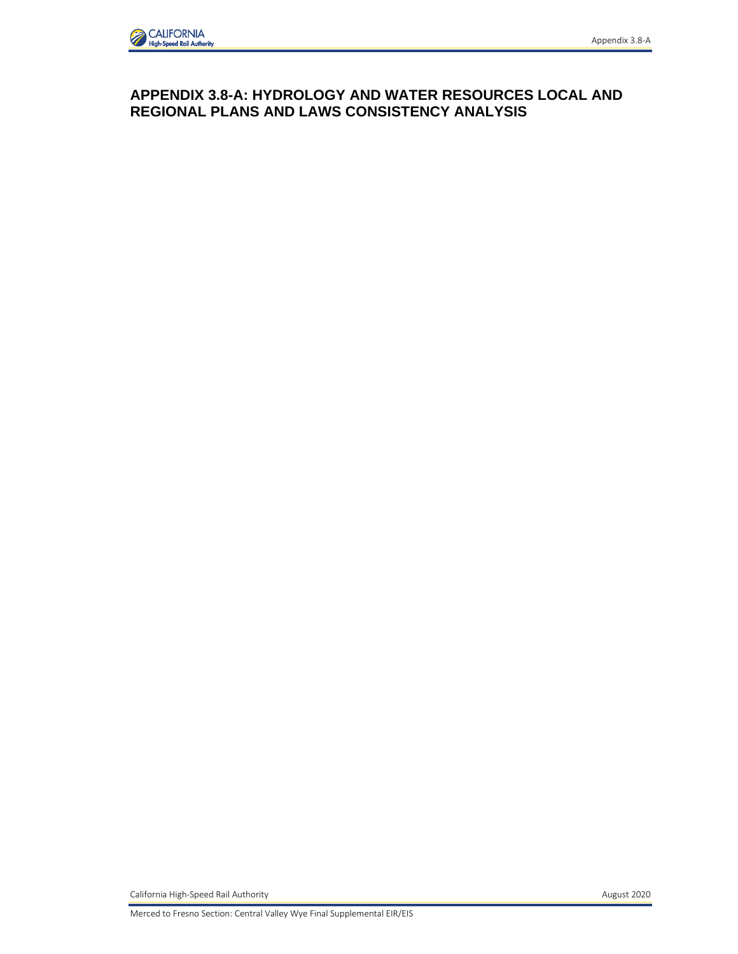## **APPENDIX 3.8-A: HYDROLOGY AND WATER RESOURCES LOCAL AND REGIONAL PLANS AND LAWS CONSISTENCY ANALYSIS**

California High-Speed Rail Authority **August 2020**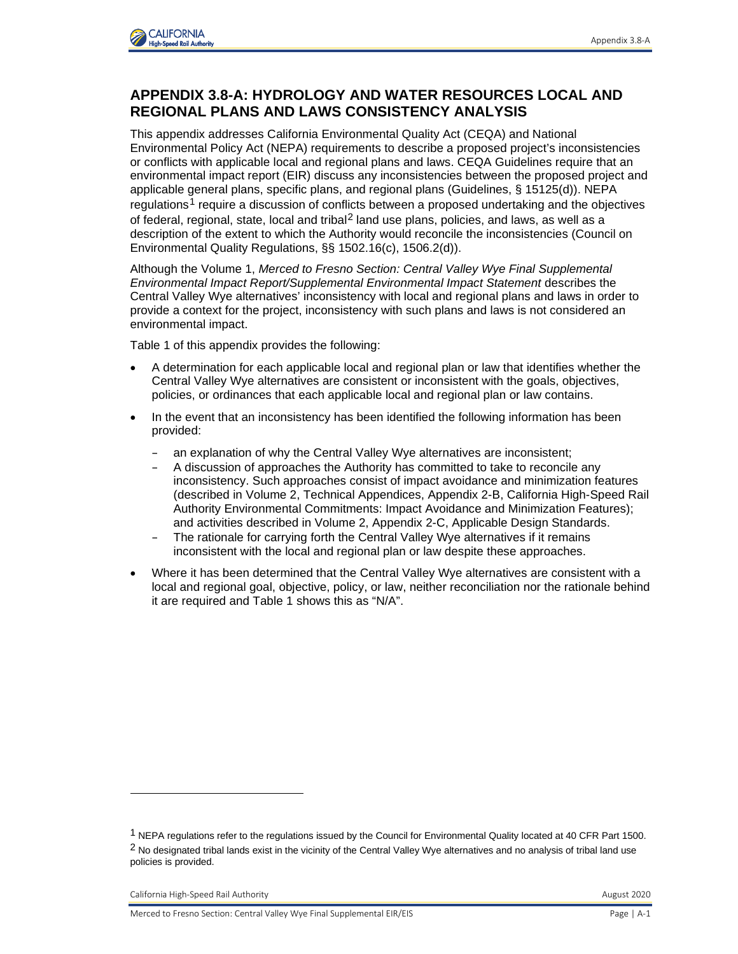

## **APPENDIX 3.8-A: HYDROLOGY AND WATER RESOURCES LOCAL AND REGIONAL PLANS AND LAWS CONSISTENCY ANALYSIS**

This appendix addresses California Environmental Quality Act (CEQA) and National Environmental Policy Act (NEPA) requirements to describe a proposed project's inconsistencies or conflicts with applicable local and regional plans and laws. CEQA Guidelines require that an environmental impact report (EIR) discuss any inconsistencies between the proposed project and applicable general plans, specific plans, and regional plans (Guidelines, § 15125(d)). NEPA regulations<sup>[1](#page-1-0)</sup> require a discussion of conflicts between a proposed undertaking and the objectives of federal, regional, state, local and tribal<sup>[2](#page-1-1)</sup> land use plans, policies, and laws, as well as a description of the extent to which the Authority would reconcile the inconsistencies (Council on Environmental Quality Regulations, §§ 1502.16(c), 1506.2(d)).

Although the Volume 1, *Merced to Fresno Section: Central Valley Wye Final Supplemental Environmental Impact Report/Supplemental Environmental Impact Statement* describes the Central Valley Wye alternatives' inconsistency with local and regional plans and laws in order to provide a context for the project, inconsistency with such plans and laws is not considered an environmental impact.

Table 1 of this appendix provides the following:

- A determination for each applicable local and regional plan or law that identifies whether the Central Valley Wye alternatives are consistent or inconsistent with the goals, objectives, policies, or ordinances that each applicable local and regional plan or law contains.
- In the event that an inconsistency has been identified the following information has been provided:
	- an explanation of why the Central Valley Wye alternatives are inconsistent;
	- A discussion of approaches the Authority has committed to take to reconcile any inconsistency. Such approaches consist of impact avoidance and minimization features (described in Volume 2, Technical Appendices, Appendix 2-B, California High-Speed Rail Authority Environmental Commitments: Impact Avoidance and Minimization Features); and activities described in Volume 2, Appendix 2-C, Applicable Design Standards.
	- The rationale for carrying forth the Central Valley Wye alternatives if it remains inconsistent with the local and regional plan or law despite these approaches.
- Where it has been determined that the Central Valley Wye alternatives are consistent with a local and regional goal, objective, policy, or law, neither reconciliation nor the rationale behind it are required and Table 1 shows this as "N/A".

<span id="page-1-1"></span><span id="page-1-0"></span><sup>1</sup> NEPA regulations refer to the regulations issued by the Council for Environmental Quality located at 40 CFR Part 1500.  $2$  No designated tribal lands exist in the vicinity of the Central Valley Wye alternatives and no analysis of tribal land use policies is provided.

California High-Speed Rail Authority **August 2020** California High-Speed Rail Authority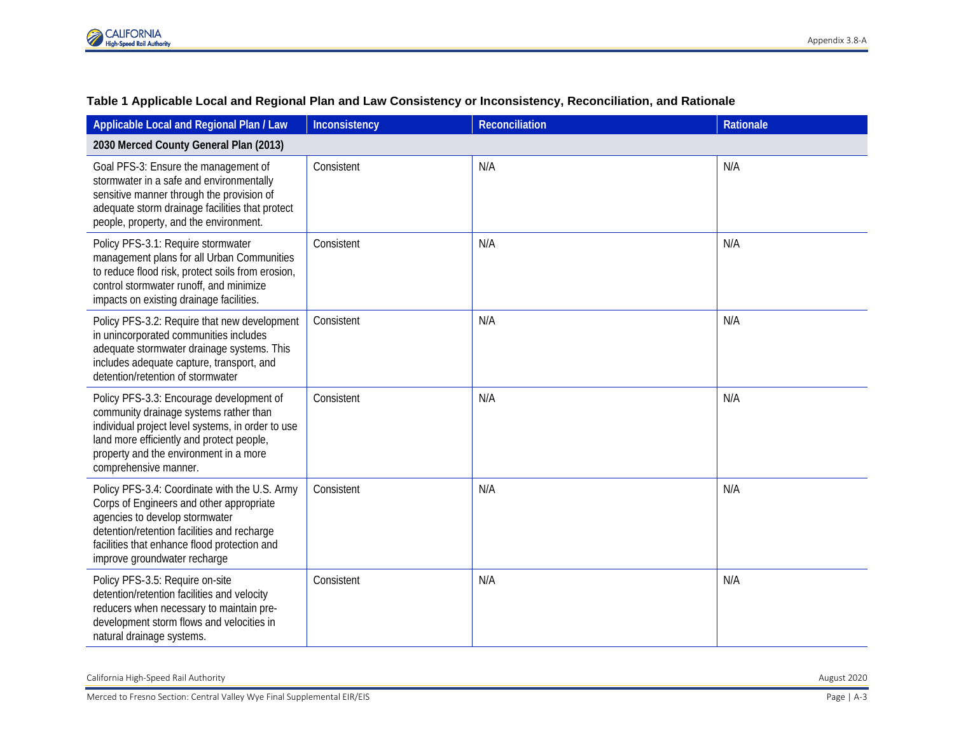

| Applicable Local and Regional Plan / Law                                                                                                                                                                                                                   | Inconsistency | <b>Reconciliation</b> | Rationale |  |
|------------------------------------------------------------------------------------------------------------------------------------------------------------------------------------------------------------------------------------------------------------|---------------|-----------------------|-----------|--|
| 2030 Merced County General Plan (2013)                                                                                                                                                                                                                     |               |                       |           |  |
| Goal PFS-3: Ensure the management of<br>stormwater in a safe and environmentally<br>sensitive manner through the provision of<br>adequate storm drainage facilities that protect<br>people, property, and the environment.                                 | Consistent    | N/A                   | N/A       |  |
| Policy PFS-3.1: Require stormwater<br>management plans for all Urban Communities<br>to reduce flood risk, protect soils from erosion,<br>control stormwater runoff, and minimize<br>impacts on existing drainage facilities.                               | Consistent    | N/A                   | N/A       |  |
| Policy PFS-3.2: Require that new development<br>in unincorporated communities includes<br>adequate stormwater drainage systems. This<br>includes adequate capture, transport, and<br>detention/retention of stormwater                                     | Consistent    | N/A                   | N/A       |  |
| Policy PFS-3.3: Encourage development of<br>community drainage systems rather than<br>individual project level systems, in order to use<br>land more efficiently and protect people,<br>property and the environment in a more<br>comprehensive manner.    | Consistent    | N/A                   | N/A       |  |
| Policy PFS-3.4: Coordinate with the U.S. Army<br>Corps of Engineers and other appropriate<br>agencies to develop stormwater<br>detention/retention facilities and recharge<br>facilities that enhance flood protection and<br>improve groundwater recharge | Consistent    | N/A                   | N/A       |  |
| Policy PFS-3.5: Require on-site<br>detention/retention facilities and velocity<br>reducers when necessary to maintain pre-<br>development storm flows and velocities in<br>natural drainage systems.                                                       | Consistent    | N/A                   | N/A       |  |

## **Table 1 Applicable Local and Regional Plan and Law Consistency or Inconsistency, Reconciliation, and Rationale**

California High-Speed Rail Authority August 2020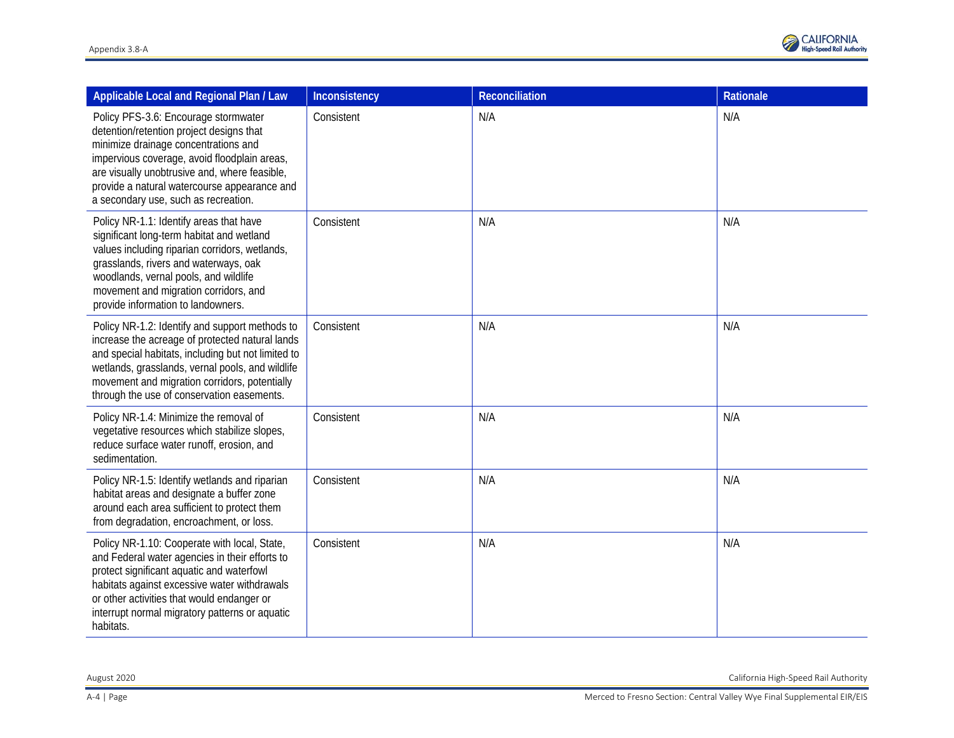

| Applicable Local and Regional Plan / Law                                                                                                                                                                                                                                                                          | Inconsistency | Reconciliation | Rationale |
|-------------------------------------------------------------------------------------------------------------------------------------------------------------------------------------------------------------------------------------------------------------------------------------------------------------------|---------------|----------------|-----------|
| Policy PFS-3.6: Encourage stormwater<br>detention/retention project designs that<br>minimize drainage concentrations and<br>impervious coverage, avoid floodplain areas,<br>are visually unobtrusive and, where feasible,<br>provide a natural watercourse appearance and<br>a secondary use, such as recreation. | Consistent    | N/A            | N/A       |
| Policy NR-1.1: Identify areas that have<br>significant long-term habitat and wetland<br>values including riparian corridors, wetlands,<br>grasslands, rivers and waterways, oak<br>woodlands, vernal pools, and wildlife<br>movement and migration corridors, and<br>provide information to landowners.           | Consistent    | N/A            | N/A       |
| Policy NR-1.2: Identify and support methods to<br>increase the acreage of protected natural lands<br>and special habitats, including but not limited to<br>wetlands, grasslands, vernal pools, and wildlife<br>movement and migration corridors, potentially<br>through the use of conservation easements.        | Consistent    | N/A            | N/A       |
| Policy NR-1.4: Minimize the removal of<br>vegetative resources which stabilize slopes,<br>reduce surface water runoff, erosion, and<br>sedimentation.                                                                                                                                                             | Consistent    | N/A            | N/A       |
| Policy NR-1.5: Identify wetlands and riparian<br>habitat areas and designate a buffer zone<br>around each area sufficient to protect them<br>from degradation, encroachment, or loss.                                                                                                                             | Consistent    | N/A            | N/A       |
| Policy NR-1.10: Cooperate with local, State,<br>and Federal water agencies in their efforts to<br>protect significant aquatic and waterfowl<br>habitats against excessive water withdrawals<br>or other activities that would endanger or<br>interrupt normal migratory patterns or aquatic<br>habitats.          | Consistent    | N/A            | N/A       |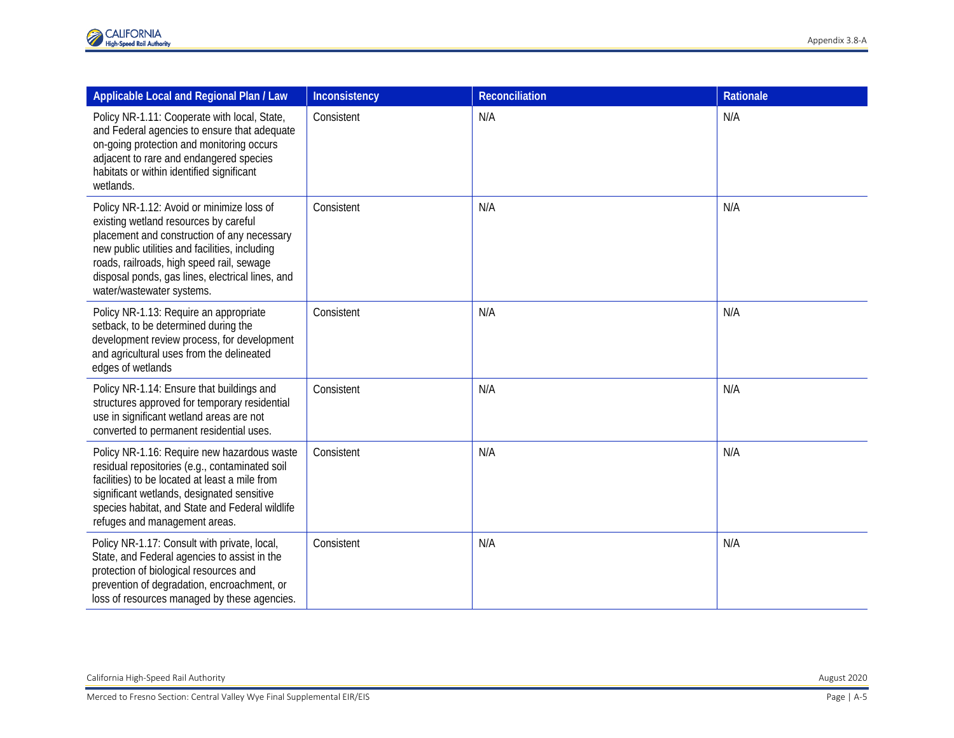| Applicable Local and Regional Plan / Law                                                                                                                                                                                                                                                                          | Inconsistency | <b>Reconciliation</b> | Rationale |
|-------------------------------------------------------------------------------------------------------------------------------------------------------------------------------------------------------------------------------------------------------------------------------------------------------------------|---------------|-----------------------|-----------|
| Policy NR-1.11: Cooperate with local, State,<br>and Federal agencies to ensure that adequate<br>on-going protection and monitoring occurs<br>adjacent to rare and endangered species<br>habitats or within identified significant<br>wetlands.                                                                    | Consistent    | N/A                   | N/A       |
| Policy NR-1.12: Avoid or minimize loss of<br>existing wetland resources by careful<br>placement and construction of any necessary<br>new public utilities and facilities, including<br>roads, railroads, high speed rail, sewage<br>disposal ponds, gas lines, electrical lines, and<br>water/wastewater systems. | Consistent    | N/A                   | N/A       |
| Policy NR-1.13: Require an appropriate<br>setback, to be determined during the<br>development review process, for development<br>and agricultural uses from the delineated<br>edges of wetlands                                                                                                                   | Consistent    | N/A                   | N/A       |
| Policy NR-1.14: Ensure that buildings and<br>structures approved for temporary residential<br>use in significant wetland areas are not<br>converted to permanent residential uses.                                                                                                                                | Consistent    | N/A                   | N/A       |
| Policy NR-1.16: Require new hazardous waste<br>residual repositories (e.g., contaminated soil<br>facilities) to be located at least a mile from<br>significant wetlands, designated sensitive<br>species habitat, and State and Federal wildlife<br>refuges and management areas.                                 | Consistent    | N/A                   | N/A       |
| Policy NR-1.17: Consult with private, local,<br>State, and Federal agencies to assist in the<br>protection of biological resources and<br>prevention of degradation, encroachment, or<br>loss of resources managed by these agencies.                                                                             | Consistent    | N/A                   | N/A       |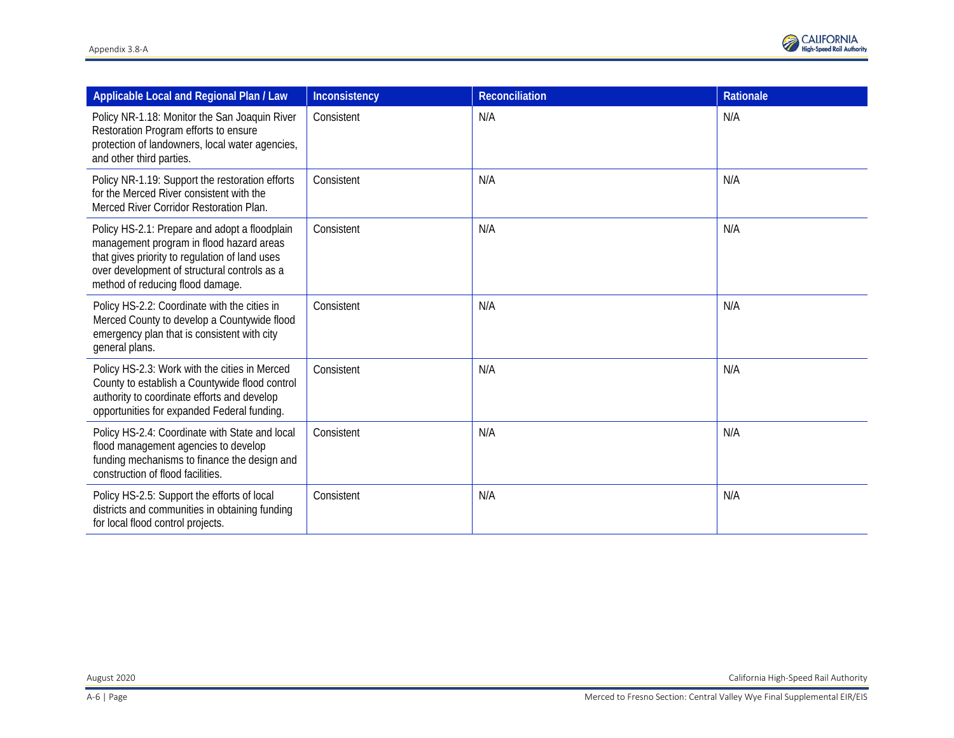

| Applicable Local and Regional Plan / Law                                                                                                                                                                                        | Inconsistency | <b>Reconciliation</b> | Rationale |
|---------------------------------------------------------------------------------------------------------------------------------------------------------------------------------------------------------------------------------|---------------|-----------------------|-----------|
| Policy NR-1.18: Monitor the San Joaquin River<br>Restoration Program efforts to ensure<br>protection of landowners, local water agencies,<br>and other third parties.                                                           | Consistent    | N/A                   | N/A       |
| Policy NR-1.19: Support the restoration efforts<br>for the Merced River consistent with the<br>Merced River Corridor Restoration Plan.                                                                                          | Consistent    | N/A                   | N/A       |
| Policy HS-2.1: Prepare and adopt a floodplain<br>management program in flood hazard areas<br>that gives priority to regulation of land uses<br>over development of structural controls as a<br>method of reducing flood damage. | Consistent    | N/A                   | N/A       |
| Policy HS-2.2: Coordinate with the cities in<br>Merced County to develop a Countywide flood<br>emergency plan that is consistent with city<br>general plans.                                                                    | Consistent    | N/A                   | N/A       |
| Policy HS-2.3: Work with the cities in Merced<br>County to establish a Countywide flood control<br>authority to coordinate efforts and develop<br>opportunities for expanded Federal funding.                                   | Consistent    | N/A                   | N/A       |
| Policy HS-2.4: Coordinate with State and local<br>flood management agencies to develop<br>funding mechanisms to finance the design and<br>construction of flood facilities.                                                     | Consistent    | N/A                   | N/A       |
| Policy HS-2.5: Support the efforts of local<br>districts and communities in obtaining funding<br>for local flood control projects.                                                                                              | Consistent    | N/A                   | N/A       |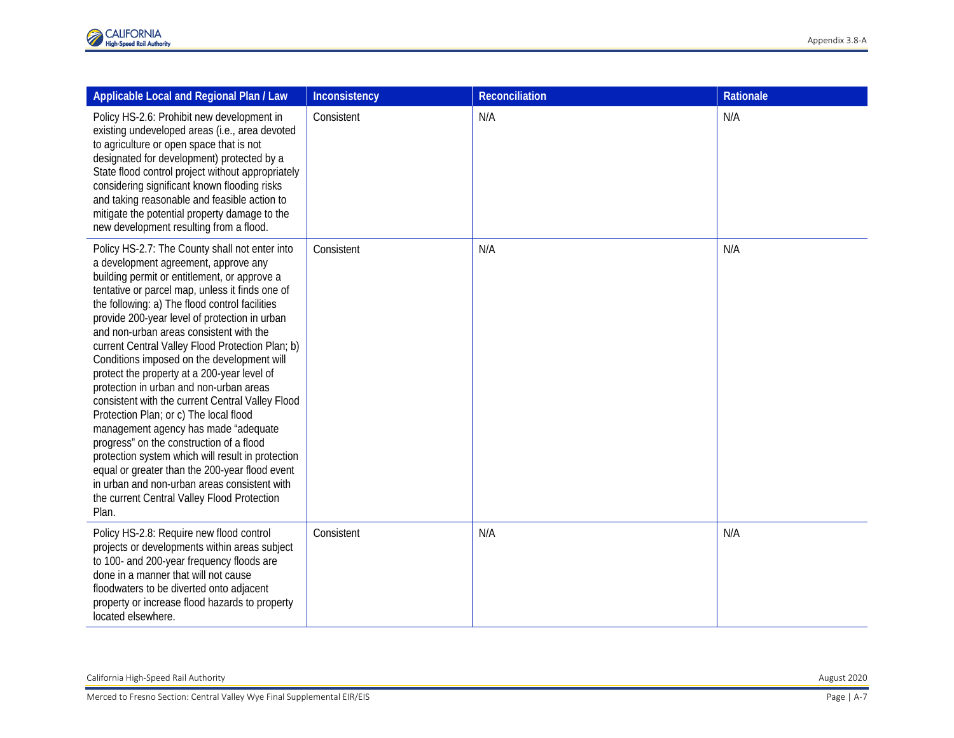| Applicable Local and Regional Plan / Law                                                                                                                                                                                                                                                                                                                                                                                                                                                                                                                                                                                                                                                                                                                                                                                                                                                                                             | Inconsistency | Reconciliation | Rationale |
|--------------------------------------------------------------------------------------------------------------------------------------------------------------------------------------------------------------------------------------------------------------------------------------------------------------------------------------------------------------------------------------------------------------------------------------------------------------------------------------------------------------------------------------------------------------------------------------------------------------------------------------------------------------------------------------------------------------------------------------------------------------------------------------------------------------------------------------------------------------------------------------------------------------------------------------|---------------|----------------|-----------|
| Policy HS-2.6: Prohibit new development in<br>existing undeveloped areas (i.e., area devoted<br>to agriculture or open space that is not<br>designated for development) protected by a<br>State flood control project without appropriately<br>considering significant known flooding risks<br>and taking reasonable and feasible action to<br>mitigate the potential property damage to the<br>new development resulting from a flood.                                                                                                                                                                                                                                                                                                                                                                                                                                                                                              | Consistent    | N/A            | N/A       |
| Policy HS-2.7: The County shall not enter into<br>a development agreement, approve any<br>building permit or entitlement, or approve a<br>tentative or parcel map, unless it finds one of<br>the following: a) The flood control facilities<br>provide 200-year level of protection in urban<br>and non-urban areas consistent with the<br>current Central Valley Flood Protection Plan; b)<br>Conditions imposed on the development will<br>protect the property at a 200-year level of<br>protection in urban and non-urban areas<br>consistent with the current Central Valley Flood<br>Protection Plan; or c) The local flood<br>management agency has made "adequate<br>progress" on the construction of a flood<br>protection system which will result in protection<br>equal or greater than the 200-year flood event<br>in urban and non-urban areas consistent with<br>the current Central Valley Flood Protection<br>Plan. | Consistent    | N/A            | N/A       |
| Policy HS-2.8: Require new flood control<br>projects or developments within areas subject<br>to 100- and 200-year frequency floods are<br>done in a manner that will not cause<br>floodwaters to be diverted onto adjacent<br>property or increase flood hazards to property<br>located elsewhere.                                                                                                                                                                                                                                                                                                                                                                                                                                                                                                                                                                                                                                   | Consistent    | N/A            | N/A       |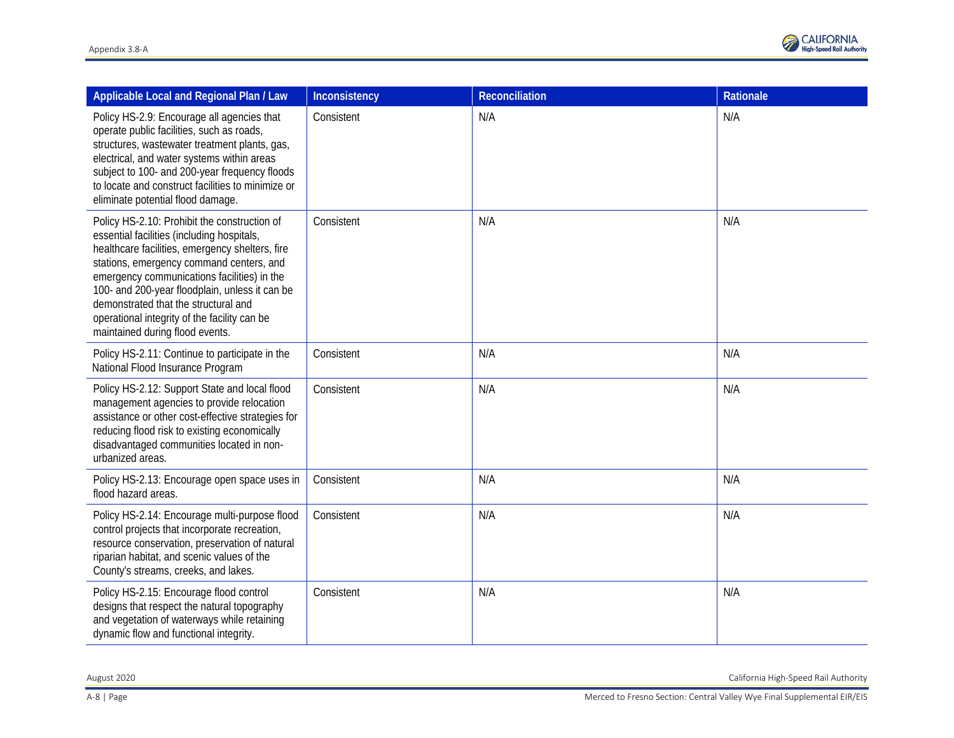

| Applicable Local and Regional Plan / Law                                                                                                                                                                                                                                                                                                                                                                              | Inconsistency | <b>Reconciliation</b> | <b>Rationale</b> |
|-----------------------------------------------------------------------------------------------------------------------------------------------------------------------------------------------------------------------------------------------------------------------------------------------------------------------------------------------------------------------------------------------------------------------|---------------|-----------------------|------------------|
| Policy HS-2.9: Encourage all agencies that<br>operate public facilities, such as roads,<br>structures, wastewater treatment plants, gas,<br>electrical, and water systems within areas<br>subject to 100- and 200-year frequency floods<br>to locate and construct facilities to minimize or<br>eliminate potential flood damage.                                                                                     | Consistent    | N/A                   | N/A              |
| Policy HS-2.10: Prohibit the construction of<br>essential facilities (including hospitals,<br>healthcare facilities, emergency shelters, fire<br>stations, emergency command centers, and<br>emergency communications facilities) in the<br>100- and 200-year floodplain, unless it can be<br>demonstrated that the structural and<br>operational integrity of the facility can be<br>maintained during flood events. | Consistent    | N/A                   | N/A              |
| Policy HS-2.11: Continue to participate in the<br>National Flood Insurance Program                                                                                                                                                                                                                                                                                                                                    | Consistent    | N/A                   | N/A              |
| Policy HS-2.12: Support State and local flood<br>management agencies to provide relocation<br>assistance or other cost-effective strategies for<br>reducing flood risk to existing economically<br>disadvantaged communities located in non-<br>urbanized areas.                                                                                                                                                      | Consistent    | N/A                   | N/A              |
| Policy HS-2.13: Encourage open space uses in<br>flood hazard areas.                                                                                                                                                                                                                                                                                                                                                   | Consistent    | N/A                   | N/A              |
| Policy HS-2.14: Encourage multi-purpose flood<br>control projects that incorporate recreation,<br>resource conservation, preservation of natural<br>riparian habitat, and scenic values of the<br>County's streams, creeks, and lakes.                                                                                                                                                                                | Consistent    | N/A                   | N/A              |
| Policy HS-2.15: Encourage flood control<br>designs that respect the natural topography<br>and vegetation of waterways while retaining<br>dynamic flow and functional integrity.                                                                                                                                                                                                                                       | Consistent    | N/A                   | N/A              |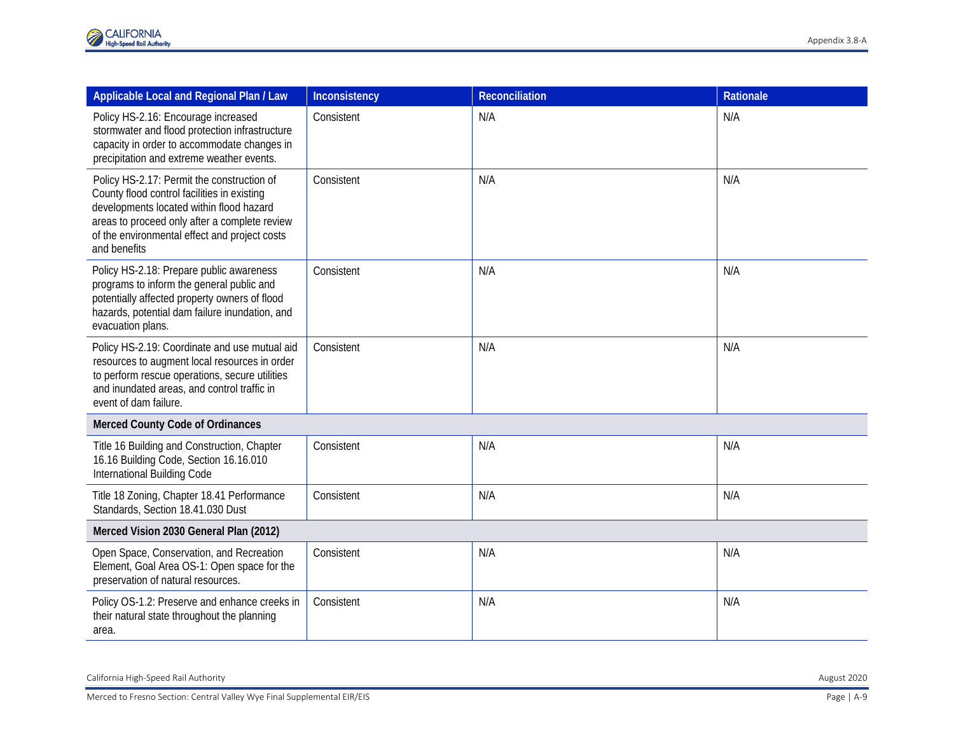| Applicable Local and Regional Plan / Law                                                                                                                                                                                                                | Inconsistency | <b>Reconciliation</b> | Rationale |  |
|---------------------------------------------------------------------------------------------------------------------------------------------------------------------------------------------------------------------------------------------------------|---------------|-----------------------|-----------|--|
| Policy HS-2.16: Encourage increased<br>stormwater and flood protection infrastructure<br>capacity in order to accommodate changes in<br>precipitation and extreme weather events.                                                                       | Consistent    | N/A                   | N/A       |  |
| Policy HS-2.17: Permit the construction of<br>County flood control facilities in existing<br>developments located within flood hazard<br>areas to proceed only after a complete review<br>of the environmental effect and project costs<br>and benefits | Consistent    | N/A                   | N/A       |  |
| Policy HS-2.18: Prepare public awareness<br>programs to inform the general public and<br>potentially affected property owners of flood<br>hazards, potential dam failure inundation, and<br>evacuation plans.                                           | Consistent    | N/A                   | N/A       |  |
| Policy HS-2.19: Coordinate and use mutual aid<br>resources to augment local resources in order<br>to perform rescue operations, secure utilities<br>and inundated areas, and control traffic in<br>event of dam failure.                                | Consistent    | N/A                   | N/A       |  |
| Merced County Code of Ordinances                                                                                                                                                                                                                        |               |                       |           |  |
| Title 16 Building and Construction, Chapter<br>16.16 Building Code, Section 16.16.010<br>International Building Code                                                                                                                                    | Consistent    | N/A                   | N/A       |  |
| Title 18 Zoning, Chapter 18.41 Performance<br>Standards, Section 18.41.030 Dust                                                                                                                                                                         | Consistent    | N/A                   | N/A       |  |
| Merced Vision 2030 General Plan (2012)                                                                                                                                                                                                                  |               |                       |           |  |
| Open Space, Conservation, and Recreation<br>Element, Goal Area OS-1: Open space for the<br>preservation of natural resources.                                                                                                                           | Consistent    | N/A                   | N/A       |  |
| Policy OS-1.2: Preserve and enhance creeks in<br>their natural state throughout the planning<br>area.                                                                                                                                                   | Consistent    | N/A                   | N/A       |  |

California High -Speed Rail Authority August 2020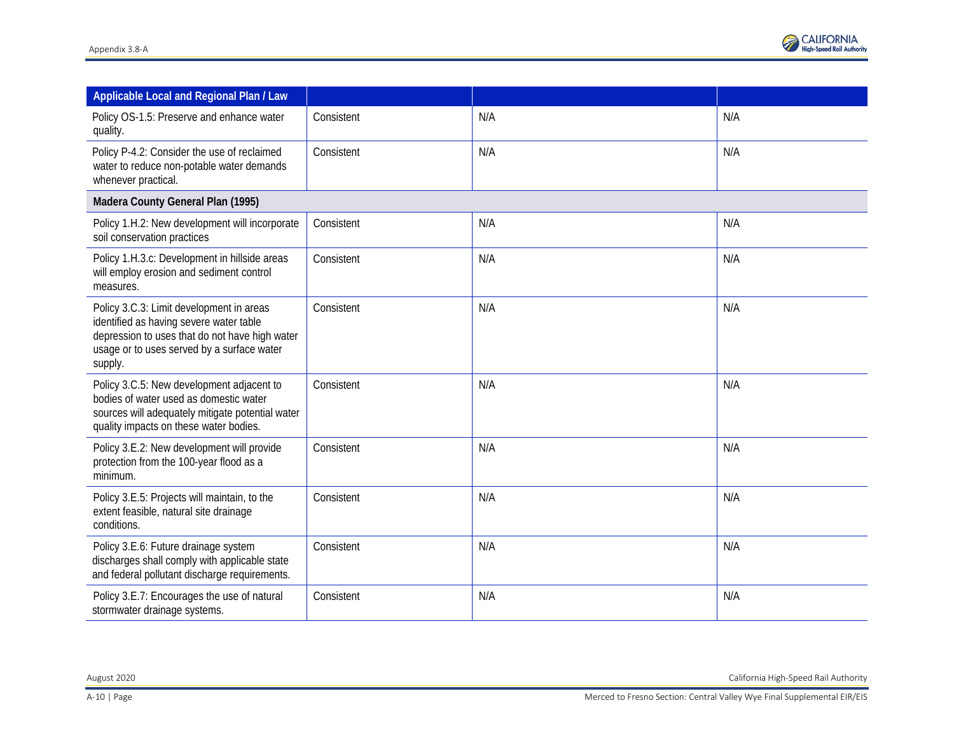

| Applicable Local and Regional Plan / Law                                                                                                                                                       |            |     |     |
|------------------------------------------------------------------------------------------------------------------------------------------------------------------------------------------------|------------|-----|-----|
| Policy OS-1.5: Preserve and enhance water<br>quality.                                                                                                                                          | Consistent | N/A | N/A |
| Policy P-4.2: Consider the use of reclaimed<br>water to reduce non-potable water demands<br>whenever practical.                                                                                | Consistent | N/A | N/A |
| Madera County General Plan (1995)                                                                                                                                                              |            |     |     |
| Policy 1.H.2: New development will incorporate<br>soil conservation practices                                                                                                                  | Consistent | N/A | N/A |
| Policy 1.H.3.c: Development in hillside areas<br>will employ erosion and sediment control<br>measures.                                                                                         | Consistent | N/A | N/A |
| Policy 3.C.3: Limit development in areas<br>identified as having severe water table<br>depression to uses that do not have high water<br>usage or to uses served by a surface water<br>supply. | Consistent | N/A | N/A |
| Policy 3.C.5: New development adjacent to<br>bodies of water used as domestic water<br>sources will adequately mitigate potential water<br>quality impacts on these water bodies.              | Consistent | N/A | N/A |
| Policy 3.E.2: New development will provide<br>protection from the 100-year flood as a<br>minimum.                                                                                              | Consistent | N/A | N/A |
| Policy 3.E.5: Projects will maintain, to the<br>extent feasible, natural site drainage<br>conditions.                                                                                          | Consistent | N/A | N/A |
| Policy 3.E.6: Future drainage system<br>discharges shall comply with applicable state<br>and federal pollutant discharge requirements.                                                         | Consistent | N/A | N/A |
| Policy 3.E.7: Encourages the use of natural<br>stormwater drainage systems.                                                                                                                    | Consistent | N/A | N/A |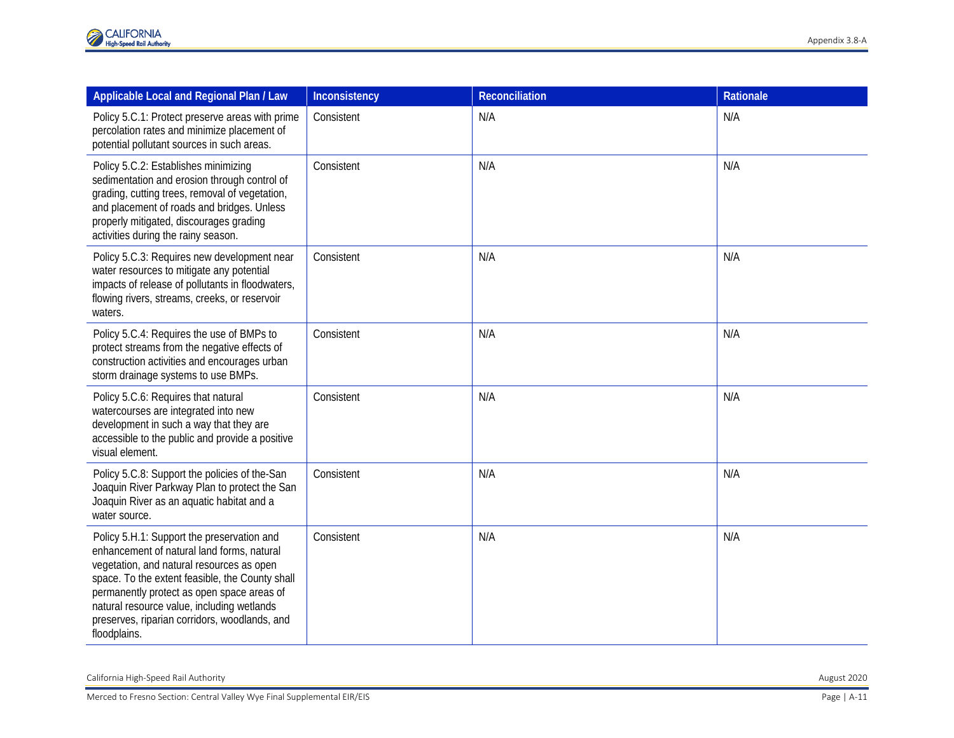| Applicable Local and Regional Plan / Law                                                                                                                                                                                                                                                                                                              | Inconsistency | <b>Reconciliation</b> | Rationale |
|-------------------------------------------------------------------------------------------------------------------------------------------------------------------------------------------------------------------------------------------------------------------------------------------------------------------------------------------------------|---------------|-----------------------|-----------|
| Policy 5.C.1: Protect preserve areas with prime<br>percolation rates and minimize placement of<br>potential pollutant sources in such areas.                                                                                                                                                                                                          | Consistent    | N/A                   | N/A       |
| Policy 5.C.2: Establishes minimizing<br>sedimentation and erosion through control of<br>grading, cutting trees, removal of vegetation,<br>and placement of roads and bridges. Unless<br>properly mitigated, discourages grading<br>activities during the rainy season.                                                                                | Consistent    | N/A                   | N/A       |
| Policy 5.C.3: Requires new development near<br>water resources to mitigate any potential<br>impacts of release of pollutants in floodwaters,<br>flowing rivers, streams, creeks, or reservoir<br>waters.                                                                                                                                              | Consistent    | N/A                   | N/A       |
| Policy 5.C.4: Requires the use of BMPs to<br>protect streams from the negative effects of<br>construction activities and encourages urban<br>storm drainage systems to use BMPs.                                                                                                                                                                      | Consistent    | N/A                   | N/A       |
| Policy 5.C.6: Requires that natural<br>watercourses are integrated into new<br>development in such a way that they are<br>accessible to the public and provide a positive<br>visual element.                                                                                                                                                          | Consistent    | N/A                   | N/A       |
| Policy 5.C.8: Support the policies of the-San<br>Joaquin River Parkway Plan to protect the San<br>Joaquin River as an aquatic habitat and a<br>water source.                                                                                                                                                                                          | Consistent    | N/A                   | N/A       |
| Policy 5.H.1: Support the preservation and<br>enhancement of natural land forms, natural<br>vegetation, and natural resources as open<br>space. To the extent feasible, the County shall<br>permanently protect as open space areas of<br>natural resource value, including wetlands<br>preserves, riparian corridors, woodlands, and<br>floodplains. | Consistent    | N/A                   | N/A       |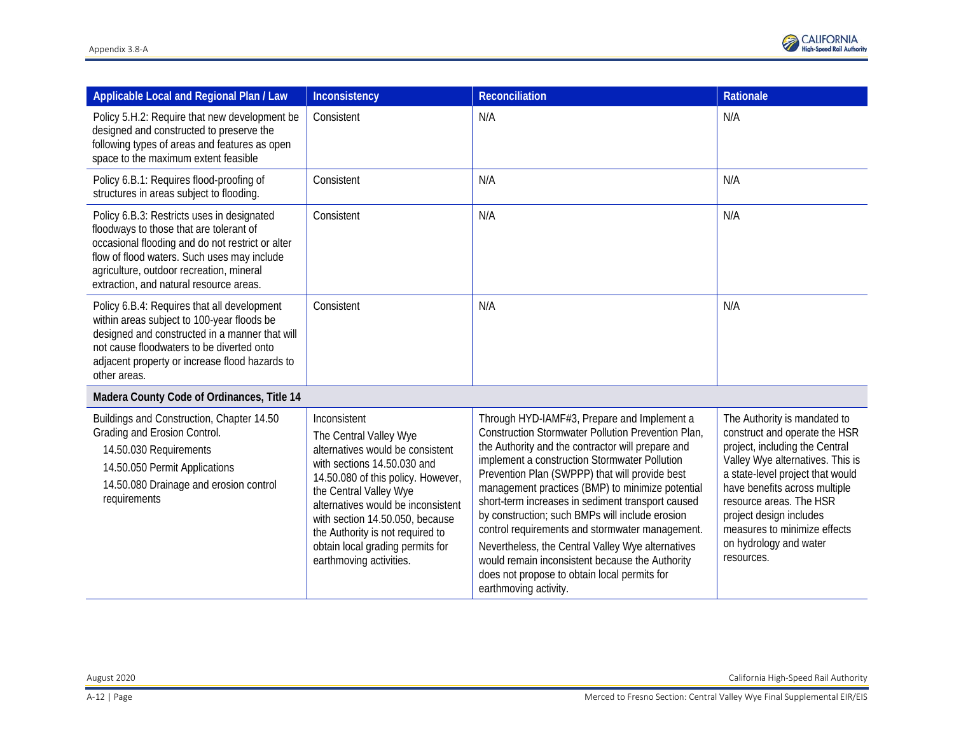

| Applicable Local and Regional Plan / Law                                                                                                                                                                                                                                        | Inconsistency                                                                                                                                                                                                                                                                                                                                         | Reconciliation                                                                                                                                                                                                                                                                                                                                                                                                                                                                                                                                                                                                                                            | Rationale                                                                                                                                                                                                                                                                                                                              |
|---------------------------------------------------------------------------------------------------------------------------------------------------------------------------------------------------------------------------------------------------------------------------------|-------------------------------------------------------------------------------------------------------------------------------------------------------------------------------------------------------------------------------------------------------------------------------------------------------------------------------------------------------|-----------------------------------------------------------------------------------------------------------------------------------------------------------------------------------------------------------------------------------------------------------------------------------------------------------------------------------------------------------------------------------------------------------------------------------------------------------------------------------------------------------------------------------------------------------------------------------------------------------------------------------------------------------|----------------------------------------------------------------------------------------------------------------------------------------------------------------------------------------------------------------------------------------------------------------------------------------------------------------------------------------|
| Policy 5.H.2: Require that new development be<br>designed and constructed to preserve the<br>following types of areas and features as open<br>space to the maximum extent feasible                                                                                              | Consistent                                                                                                                                                                                                                                                                                                                                            | N/A                                                                                                                                                                                                                                                                                                                                                                                                                                                                                                                                                                                                                                                       | N/A                                                                                                                                                                                                                                                                                                                                    |
| Policy 6.B.1: Requires flood-proofing of<br>structures in areas subject to flooding.                                                                                                                                                                                            | Consistent                                                                                                                                                                                                                                                                                                                                            | N/A                                                                                                                                                                                                                                                                                                                                                                                                                                                                                                                                                                                                                                                       | N/A                                                                                                                                                                                                                                                                                                                                    |
| Policy 6.B.3: Restricts uses in designated<br>floodways to those that are tolerant of<br>occasional flooding and do not restrict or alter<br>flow of flood waters. Such uses may include<br>agriculture, outdoor recreation, mineral<br>extraction, and natural resource areas. | Consistent                                                                                                                                                                                                                                                                                                                                            | N/A                                                                                                                                                                                                                                                                                                                                                                                                                                                                                                                                                                                                                                                       | N/A                                                                                                                                                                                                                                                                                                                                    |
| Policy 6.B.4: Requires that all development<br>within areas subject to 100-year floods be<br>designed and constructed in a manner that will<br>not cause floodwaters to be diverted onto<br>adjacent property or increase flood hazards to<br>other areas.                      | Consistent                                                                                                                                                                                                                                                                                                                                            | N/A                                                                                                                                                                                                                                                                                                                                                                                                                                                                                                                                                                                                                                                       | N/A                                                                                                                                                                                                                                                                                                                                    |
| Madera County Code of Ordinances, Title 14                                                                                                                                                                                                                                      |                                                                                                                                                                                                                                                                                                                                                       |                                                                                                                                                                                                                                                                                                                                                                                                                                                                                                                                                                                                                                                           |                                                                                                                                                                                                                                                                                                                                        |
| Buildings and Construction, Chapter 14.50<br>Grading and Erosion Control.<br>14.50.030 Requirements<br>14.50.050 Permit Applications<br>14.50.080 Drainage and erosion control<br>requirements                                                                                  | Inconsistent<br>The Central Valley Wye<br>alternatives would be consistent<br>with sections 14.50.030 and<br>14.50.080 of this policy. However,<br>the Central Valley Wye<br>alternatives would be inconsistent<br>with section 14.50.050, because<br>the Authority is not required to<br>obtain local grading permits for<br>earthmoving activities. | Through HYD-IAMF#3, Prepare and Implement a<br>Construction Stormwater Pollution Prevention Plan,<br>the Authority and the contractor will prepare and<br>implement a construction Stormwater Pollution<br>Prevention Plan (SWPPP) that will provide best<br>management practices (BMP) to minimize potential<br>short-term increases in sediment transport caused<br>by construction; such BMPs will include erosion<br>control requirements and stormwater management.<br>Nevertheless, the Central Valley Wye alternatives<br>would remain inconsistent because the Authority<br>does not propose to obtain local permits for<br>earthmoving activity. | The Authority is mandated to<br>construct and operate the HSR<br>project, including the Central<br>Valley Wye alternatives. This is<br>a state-level project that would<br>have benefits across multiple<br>resource areas. The HSR<br>project design includes<br>measures to minimize effects<br>on hydrology and water<br>resources. |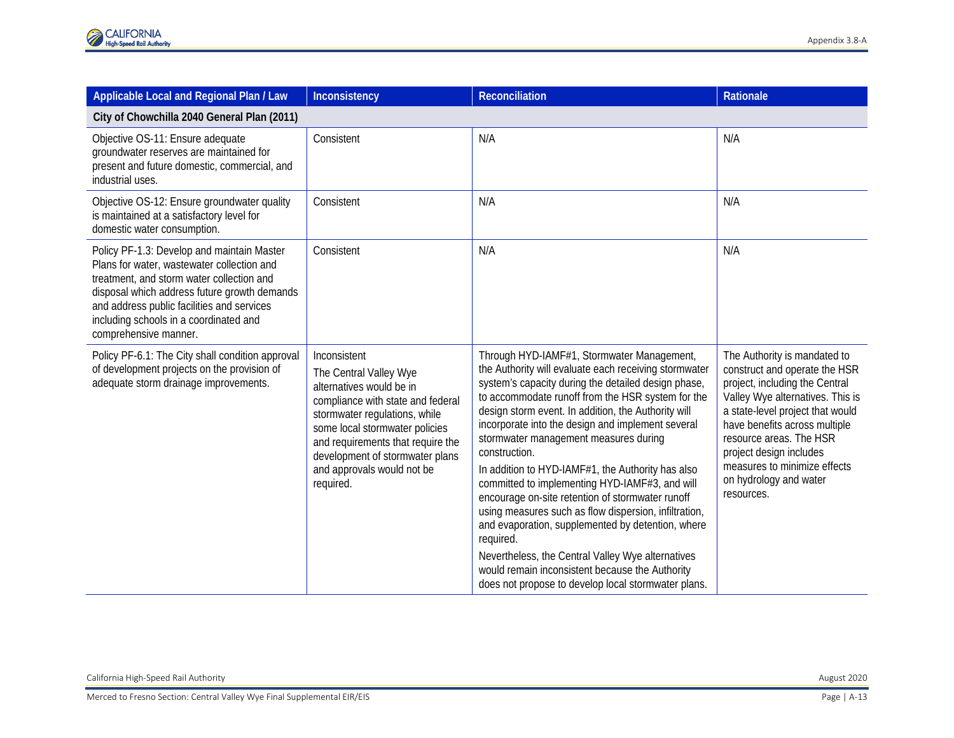| Applicable Local and Regional Plan / Law                                                                                                                                                                                                                                                               | Inconsistency                                                                                                                                                                                                                                                                                 | <b>Reconciliation</b>                                                                                                                                                                                                                                                                                                                                                                                                                                                                                                                                                                                                                                                                                                                                                                                                                      | Rationale                                                                                                                                                                                                                                                                                                                              |  |
|--------------------------------------------------------------------------------------------------------------------------------------------------------------------------------------------------------------------------------------------------------------------------------------------------------|-----------------------------------------------------------------------------------------------------------------------------------------------------------------------------------------------------------------------------------------------------------------------------------------------|--------------------------------------------------------------------------------------------------------------------------------------------------------------------------------------------------------------------------------------------------------------------------------------------------------------------------------------------------------------------------------------------------------------------------------------------------------------------------------------------------------------------------------------------------------------------------------------------------------------------------------------------------------------------------------------------------------------------------------------------------------------------------------------------------------------------------------------------|----------------------------------------------------------------------------------------------------------------------------------------------------------------------------------------------------------------------------------------------------------------------------------------------------------------------------------------|--|
| City of Chowchilla 2040 General Plan (2011)                                                                                                                                                                                                                                                            |                                                                                                                                                                                                                                                                                               |                                                                                                                                                                                                                                                                                                                                                                                                                                                                                                                                                                                                                                                                                                                                                                                                                                            |                                                                                                                                                                                                                                                                                                                                        |  |
| Objective OS-11: Ensure adequate<br>groundwater reserves are maintained for<br>present and future domestic, commercial, and<br>industrial uses.                                                                                                                                                        | Consistent                                                                                                                                                                                                                                                                                    | N/A                                                                                                                                                                                                                                                                                                                                                                                                                                                                                                                                                                                                                                                                                                                                                                                                                                        | N/A                                                                                                                                                                                                                                                                                                                                    |  |
| Objective OS-12: Ensure groundwater quality<br>is maintained at a satisfactory level for<br>domestic water consumption.                                                                                                                                                                                | Consistent                                                                                                                                                                                                                                                                                    | N/A                                                                                                                                                                                                                                                                                                                                                                                                                                                                                                                                                                                                                                                                                                                                                                                                                                        | N/A                                                                                                                                                                                                                                                                                                                                    |  |
| Policy PF-1.3: Develop and maintain Master<br>Plans for water, wastewater collection and<br>treatment, and storm water collection and<br>disposal which address future growth demands<br>and address public facilities and services<br>including schools in a coordinated and<br>comprehensive manner. | Consistent                                                                                                                                                                                                                                                                                    | N/A                                                                                                                                                                                                                                                                                                                                                                                                                                                                                                                                                                                                                                                                                                                                                                                                                                        | N/A                                                                                                                                                                                                                                                                                                                                    |  |
| Policy PF-6.1: The City shall condition approval<br>of development projects on the provision of<br>adequate storm drainage improvements.                                                                                                                                                               | Inconsistent<br>The Central Valley Wye<br>alternatives would be in<br>compliance with state and federal<br>stormwater regulations, while<br>some local stormwater policies<br>and requirements that require the<br>development of stormwater plans<br>and approvals would not be<br>required. | Through HYD-IAMF#1, Stormwater Management,<br>the Authority will evaluate each receiving stormwater<br>system's capacity during the detailed design phase,<br>to accommodate runoff from the HSR system for the<br>design storm event. In addition, the Authority will<br>incorporate into the design and implement several<br>stormwater management measures during<br>construction.<br>In addition to HYD-IAMF#1, the Authority has also<br>committed to implementing HYD-IAMF#3, and will<br>encourage on-site retention of stormwater runoff<br>using measures such as flow dispersion, infiltration,<br>and evaporation, supplemented by detention, where<br>required.<br>Nevertheless, the Central Valley Wye alternatives<br>would remain inconsistent because the Authority<br>does not propose to develop local stormwater plans. | The Authority is mandated to<br>construct and operate the HSR<br>project, including the Central<br>Valley Wye alternatives. This is<br>a state-level project that would<br>have benefits across multiple<br>resource areas. The HSR<br>project design includes<br>measures to minimize effects<br>on hydrology and water<br>resources. |  |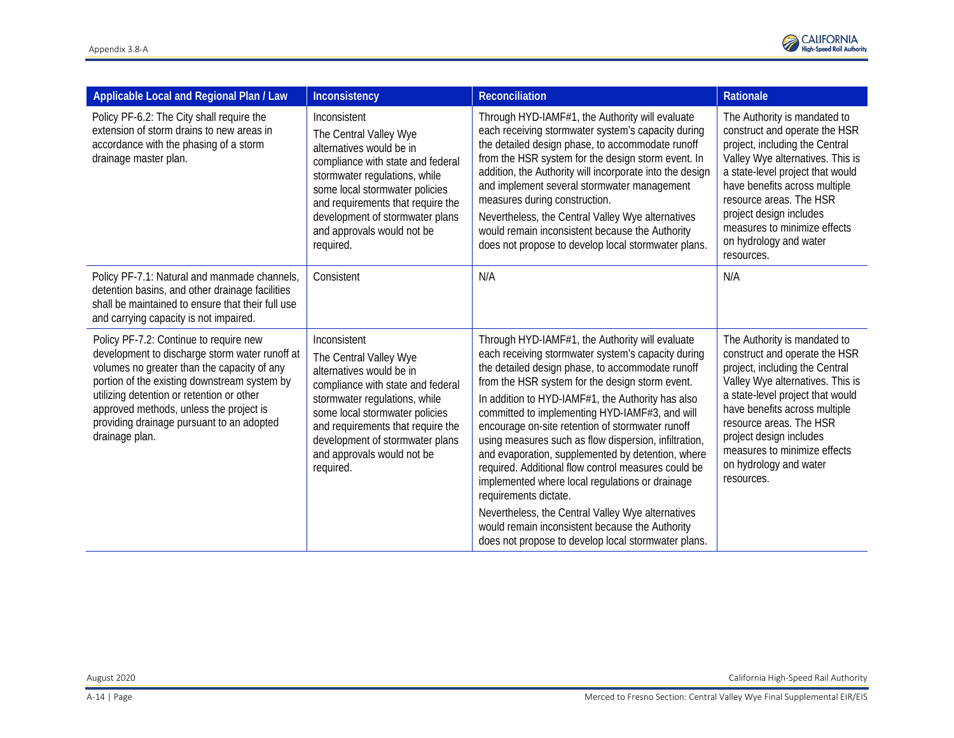| Inconsistency                                                                                                                                                                                                                                                                                 | Reconciliation                                                                                                                                                                                                                                                                                                                                                                                                                                                                                                                                                                                                                                                                                                                   | Rationale                                                                                                                                                                                                                                                                                                                              |
|-----------------------------------------------------------------------------------------------------------------------------------------------------------------------------------------------------------------------------------------------------------------------------------------------|----------------------------------------------------------------------------------------------------------------------------------------------------------------------------------------------------------------------------------------------------------------------------------------------------------------------------------------------------------------------------------------------------------------------------------------------------------------------------------------------------------------------------------------------------------------------------------------------------------------------------------------------------------------------------------------------------------------------------------|----------------------------------------------------------------------------------------------------------------------------------------------------------------------------------------------------------------------------------------------------------------------------------------------------------------------------------------|
| Inconsistent<br>The Central Valley Wye<br>alternatives would be in<br>compliance with state and federal<br>stormwater regulations, while<br>some local stormwater policies<br>and requirements that require the<br>development of stormwater plans<br>and approvals would not be<br>required. | Through HYD-IAMF#1, the Authority will evaluate<br>each receiving stormwater system's capacity during<br>the detailed design phase, to accommodate runoff<br>from the HSR system for the design storm event. In<br>addition, the Authority will incorporate into the design<br>and implement several stormwater management<br>measures during construction.<br>Nevertheless, the Central Valley Wye alternatives<br>would remain inconsistent because the Authority<br>does not propose to develop local stormwater plans.                                                                                                                                                                                                       | The Authority is mandated to<br>construct and operate the HSR<br>project, including the Central<br>Valley Wye alternatives. This is<br>a state-level project that would<br>have benefits across multiple<br>resource areas. The HSR<br>project design includes<br>measures to minimize effects<br>on hydrology and water<br>resources. |
| Consistent                                                                                                                                                                                                                                                                                    | N/A                                                                                                                                                                                                                                                                                                                                                                                                                                                                                                                                                                                                                                                                                                                              | N/A                                                                                                                                                                                                                                                                                                                                    |
| Inconsistent<br>The Central Valley Wye<br>alternatives would be in<br>compliance with state and federal<br>stormwater regulations, while<br>some local stormwater policies<br>and requirements that require the<br>development of stormwater plans<br>and approvals would not be<br>required. | Through HYD-IAMF#1, the Authority will evaluate<br>each receiving stormwater system's capacity during<br>the detailed design phase, to accommodate runoff<br>from the HSR system for the design storm event.<br>In addition to HYD-IAMF#1, the Authority has also<br>committed to implementing HYD-IAMF#3, and will<br>encourage on-site retention of stormwater runoff<br>using measures such as flow dispersion, infiltration,<br>and evaporation, supplemented by detention, where<br>required. Additional flow control measures could be<br>implemented where local regulations or drainage<br>requirements dictate.<br>Nevertheless, the Central Valley Wye alternatives<br>would remain inconsistent because the Authority | The Authority is mandated to<br>construct and operate the HSR<br>project, including the Central<br>Valley Wye alternatives. This is<br>a state-level project that would<br>have benefits across multiple<br>resource areas. The HSR<br>project design includes<br>measures to minimize effects<br>on hydrology and water<br>resources. |
|                                                                                                                                                                                                                                                                                               |                                                                                                                                                                                                                                                                                                                                                                                                                                                                                                                                                                                                                                                                                                                                  | does not propose to develop local stormwater plans.                                                                                                                                                                                                                                                                                    |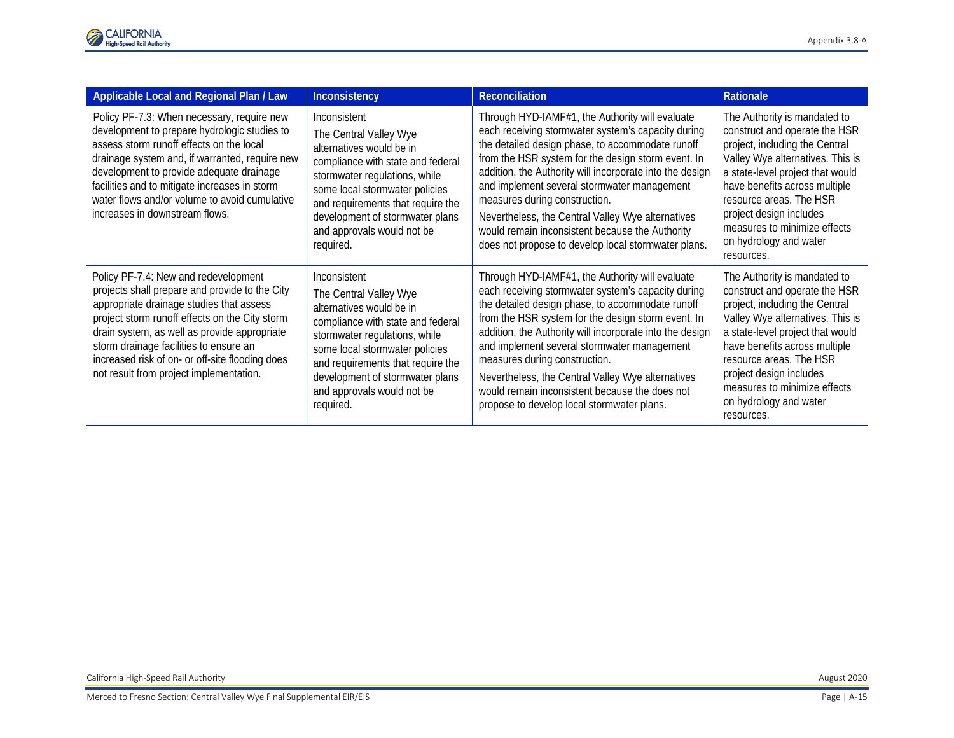| <b>Applicable Local and Regional Plan / Law</b>                                                                                                                                                                                                                                                                                                                              | Inconsistency                                                                                                                                                                                                                                                                                 | Reconciliation                                                                                                                                                                                                                                                                                                                                                                                                                                                                                                             | <b>Rationale</b>                                                                                                                                                                                                                                                                                                                       |
|------------------------------------------------------------------------------------------------------------------------------------------------------------------------------------------------------------------------------------------------------------------------------------------------------------------------------------------------------------------------------|-----------------------------------------------------------------------------------------------------------------------------------------------------------------------------------------------------------------------------------------------------------------------------------------------|----------------------------------------------------------------------------------------------------------------------------------------------------------------------------------------------------------------------------------------------------------------------------------------------------------------------------------------------------------------------------------------------------------------------------------------------------------------------------------------------------------------------------|----------------------------------------------------------------------------------------------------------------------------------------------------------------------------------------------------------------------------------------------------------------------------------------------------------------------------------------|
| Policy PF-7.3: When necessary, require new<br>development to prepare hydrologic studies to<br>assess storm runoff effects on the local<br>drainage system and, if warranted, require new<br>development to provide adequate drainage<br>facilities and to mitigate increases in storm<br>water flows and/or volume to avoid cumulative<br>increases in downstream flows.     | Inconsistent<br>The Central Valley Wye<br>alternatives would be in<br>compliance with state and federal<br>stormwater regulations, while<br>some local stormwater policies<br>and requirements that require the<br>development of stormwater plans<br>and approvals would not be<br>required. | Through HYD-IAMF#1, the Authority will evaluate<br>each receiving stormwater system's capacity during<br>the detailed design phase, to accommodate runoff<br>from the HSR system for the design storm event. In<br>addition, the Authority will incorporate into the design<br>and implement several stormwater management<br>measures during construction.<br>Nevertheless, the Central Valley Wye alternatives<br>would remain inconsistent because the Authority<br>does not propose to develop local stormwater plans. | The Authority is mandated to<br>construct and operate the HSR<br>project, including the Central<br>Valley Wye alternatives. This is<br>a state-level project that would<br>have benefits across multiple<br>resource areas. The HSR<br>project design includes<br>measures to minimize effects<br>on hydrology and water<br>resources. |
| Policy PF-7.4: New and redevelopment<br>projects shall prepare and provide to the City<br>appropriate drainage studies that assess<br>project storm runoff effects on the City storm<br>drain system, as well as provide appropriate<br>storm drainage facilities to ensure an<br>increased risk of on- or off-site flooding does<br>not result from project implementation. | Inconsistent<br>The Central Valley Wye<br>alternatives would be in<br>compliance with state and federal<br>stormwater regulations, while<br>some local stormwater policies<br>and requirements that require the<br>development of stormwater plans<br>and approvals would not be<br>required. | Through HYD-IAMF#1, the Authority will evaluate<br>each receiving stormwater system's capacity during<br>the detailed design phase, to accommodate runoff<br>from the HSR system for the design storm event. In<br>addition, the Authority will incorporate into the design<br>and implement several stormwater management<br>measures during construction.<br>Nevertheless, the Central Valley Wye alternatives<br>would remain inconsistent because the does not<br>propose to develop local stormwater plans.           | The Authority is mandated to<br>construct and operate the HSR<br>project, including the Central<br>Valley Wye alternatives. This is<br>a state-level project that would<br>have benefits across multiple<br>resource areas. The HSR<br>project design includes<br>measures to minimize effects<br>on hydrology and water<br>resources. |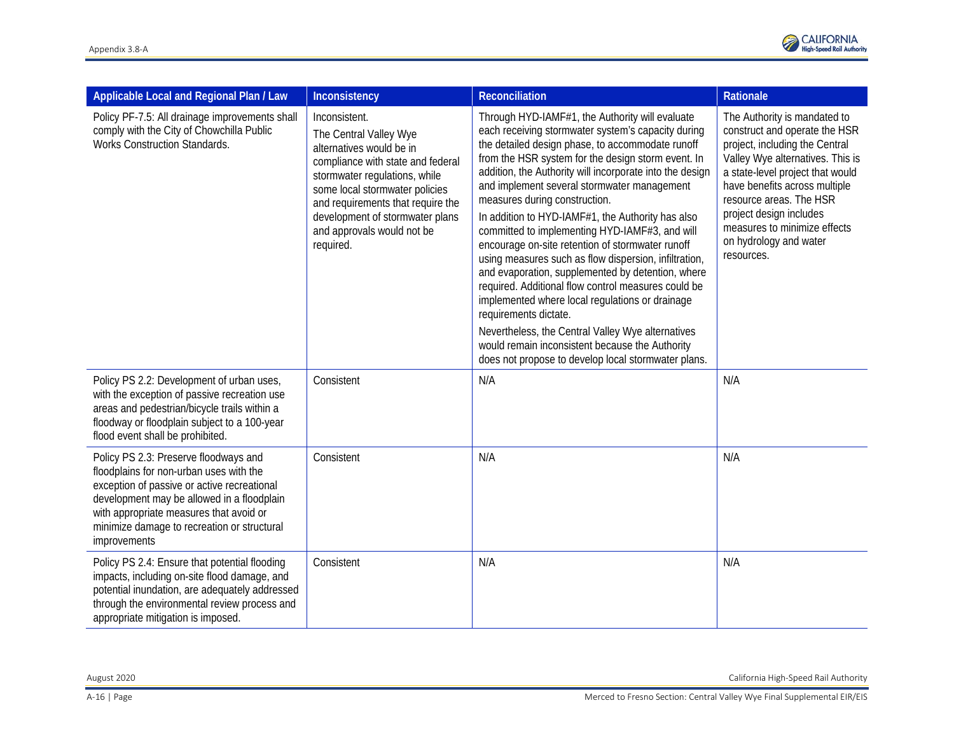

| Applicable Local and Regional Plan / Law                                                                                                                                                                                                                                                | Inconsistency                                                                                                                                                                                                                                                                                  | Reconciliation                                                                                                                                                                                                                                                                                                                                                                                                                                                                                                                                                                                                                                                                                                                                                                                                                                                                                                                         | Rationale                                                                                                                                                                                                                                                                                                                              |
|-----------------------------------------------------------------------------------------------------------------------------------------------------------------------------------------------------------------------------------------------------------------------------------------|------------------------------------------------------------------------------------------------------------------------------------------------------------------------------------------------------------------------------------------------------------------------------------------------|----------------------------------------------------------------------------------------------------------------------------------------------------------------------------------------------------------------------------------------------------------------------------------------------------------------------------------------------------------------------------------------------------------------------------------------------------------------------------------------------------------------------------------------------------------------------------------------------------------------------------------------------------------------------------------------------------------------------------------------------------------------------------------------------------------------------------------------------------------------------------------------------------------------------------------------|----------------------------------------------------------------------------------------------------------------------------------------------------------------------------------------------------------------------------------------------------------------------------------------------------------------------------------------|
| Policy PF-7.5: All drainage improvements shall<br>comply with the City of Chowchilla Public<br><b>Works Construction Standards.</b>                                                                                                                                                     | Inconsistent.<br>The Central Valley Wye<br>alternatives would be in<br>compliance with state and federal<br>stormwater regulations, while<br>some local stormwater policies<br>and requirements that require the<br>development of stormwater plans<br>and approvals would not be<br>required. | Through HYD-IAMF#1, the Authority will evaluate<br>each receiving stormwater system's capacity during<br>the detailed design phase, to accommodate runoff<br>from the HSR system for the design storm event. In<br>addition, the Authority will incorporate into the design<br>and implement several stormwater management<br>measures during construction.<br>In addition to HYD-IAMF#1, the Authority has also<br>committed to implementing HYD-IAMF#3, and will<br>encourage on-site retention of stormwater runoff<br>using measures such as flow dispersion, infiltration,<br>and evaporation, supplemented by detention, where<br>required. Additional flow control measures could be<br>implemented where local regulations or drainage<br>requirements dictate.<br>Nevertheless, the Central Valley Wye alternatives<br>would remain inconsistent because the Authority<br>does not propose to develop local stormwater plans. | The Authority is mandated to<br>construct and operate the HSR<br>project, including the Central<br>Valley Wye alternatives. This is<br>a state-level project that would<br>have benefits across multiple<br>resource areas. The HSR<br>project design includes<br>measures to minimize effects<br>on hydrology and water<br>resources. |
| Policy PS 2.2: Development of urban uses,<br>with the exception of passive recreation use<br>areas and pedestrian/bicycle trails within a<br>floodway or floodplain subject to a 100-year<br>flood event shall be prohibited.                                                           | Consistent                                                                                                                                                                                                                                                                                     | N/A                                                                                                                                                                                                                                                                                                                                                                                                                                                                                                                                                                                                                                                                                                                                                                                                                                                                                                                                    | N/A                                                                                                                                                                                                                                                                                                                                    |
| Policy PS 2.3: Preserve floodways and<br>floodplains for non-urban uses with the<br>exception of passive or active recreational<br>development may be allowed in a floodplain<br>with appropriate measures that avoid or<br>minimize damage to recreation or structural<br>improvements | Consistent                                                                                                                                                                                                                                                                                     | N/A                                                                                                                                                                                                                                                                                                                                                                                                                                                                                                                                                                                                                                                                                                                                                                                                                                                                                                                                    | N/A                                                                                                                                                                                                                                                                                                                                    |
| Policy PS 2.4: Ensure that potential flooding<br>impacts, including on-site flood damage, and<br>potential inundation, are adequately addressed<br>through the environmental review process and<br>appropriate mitigation is imposed.                                                   | Consistent                                                                                                                                                                                                                                                                                     | N/A                                                                                                                                                                                                                                                                                                                                                                                                                                                                                                                                                                                                                                                                                                                                                                                                                                                                                                                                    | N/A                                                                                                                                                                                                                                                                                                                                    |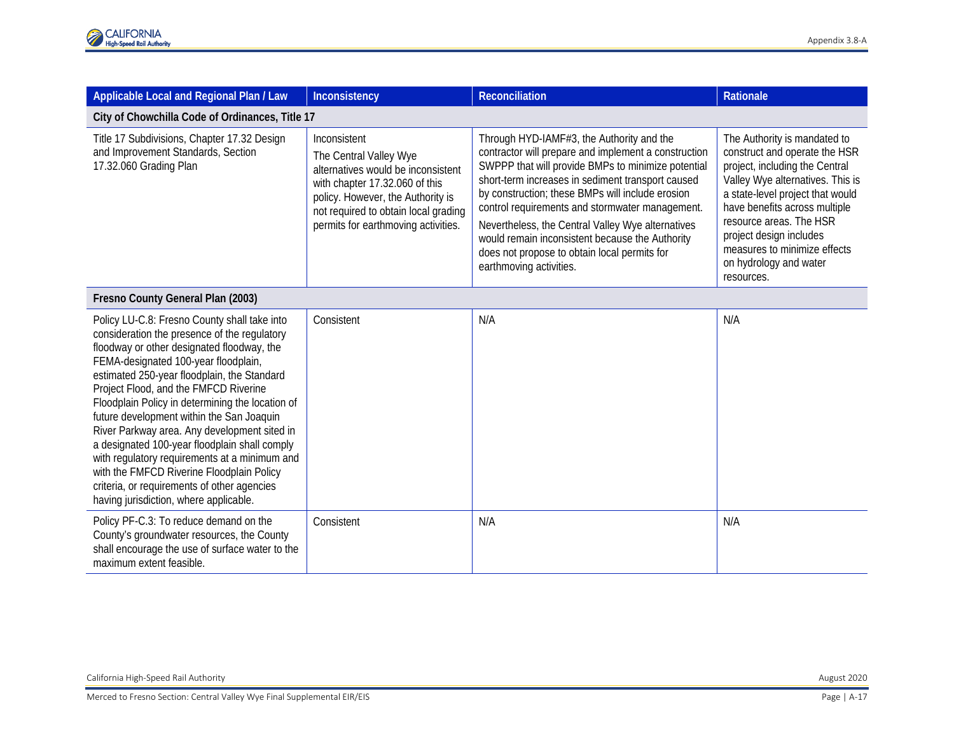| Applicable Local and Regional Plan / Law                                                                                                                                                                                                                                                                                                                                                                                                                                                                                                                                                                                                                            | Inconsistency                                                                                                                                                                                                                      | <b>Reconciliation</b>                                                                                                                                                                                                                                                                                                                                                                                                                                                                                  | Rationale                                                                                                                                                                                                                                                                                                                              |
|---------------------------------------------------------------------------------------------------------------------------------------------------------------------------------------------------------------------------------------------------------------------------------------------------------------------------------------------------------------------------------------------------------------------------------------------------------------------------------------------------------------------------------------------------------------------------------------------------------------------------------------------------------------------|------------------------------------------------------------------------------------------------------------------------------------------------------------------------------------------------------------------------------------|--------------------------------------------------------------------------------------------------------------------------------------------------------------------------------------------------------------------------------------------------------------------------------------------------------------------------------------------------------------------------------------------------------------------------------------------------------------------------------------------------------|----------------------------------------------------------------------------------------------------------------------------------------------------------------------------------------------------------------------------------------------------------------------------------------------------------------------------------------|
| City of Chowchilla Code of Ordinances, Title 17                                                                                                                                                                                                                                                                                                                                                                                                                                                                                                                                                                                                                     |                                                                                                                                                                                                                                    |                                                                                                                                                                                                                                                                                                                                                                                                                                                                                                        |                                                                                                                                                                                                                                                                                                                                        |
| Title 17 Subdivisions, Chapter 17.32 Design<br>and Improvement Standards, Section<br>17.32.060 Grading Plan                                                                                                                                                                                                                                                                                                                                                                                                                                                                                                                                                         | Inconsistent<br>The Central Valley Wye<br>alternatives would be inconsistent<br>with chapter 17.32.060 of this<br>policy. However, the Authority is<br>not required to obtain local grading<br>permits for earthmoving activities. | Through HYD-IAMF#3, the Authority and the<br>contractor will prepare and implement a construction<br>SWPPP that will provide BMPs to minimize potential<br>short-term increases in sediment transport caused<br>by construction; these BMPs will include erosion<br>control requirements and stormwater management.<br>Nevertheless, the Central Valley Wye alternatives<br>would remain inconsistent because the Authority<br>does not propose to obtain local permits for<br>earthmoving activities. | The Authority is mandated to<br>construct and operate the HSR<br>project, including the Central<br>Valley Wye alternatives. This is<br>a state-level project that would<br>have benefits across multiple<br>resource areas. The HSR<br>project design includes<br>measures to minimize effects<br>on hydrology and water<br>resources. |
| Fresno County General Plan (2003)                                                                                                                                                                                                                                                                                                                                                                                                                                                                                                                                                                                                                                   |                                                                                                                                                                                                                                    |                                                                                                                                                                                                                                                                                                                                                                                                                                                                                                        |                                                                                                                                                                                                                                                                                                                                        |
| Policy LU-C.8: Fresno County shall take into<br>consideration the presence of the regulatory<br>floodway or other designated floodway, the<br>FEMA-designated 100-year floodplain,<br>estimated 250-year floodplain, the Standard<br>Project Flood, and the FMFCD Riverine<br>Floodplain Policy in determining the location of<br>future development within the San Joaquin<br>River Parkway area. Any development sited in<br>a designated 100-year floodplain shall comply<br>with regulatory requirements at a minimum and<br>with the FMFCD Riverine Floodplain Policy<br>criteria, or requirements of other agencies<br>having jurisdiction, where applicable. | Consistent                                                                                                                                                                                                                         | N/A                                                                                                                                                                                                                                                                                                                                                                                                                                                                                                    | N/A                                                                                                                                                                                                                                                                                                                                    |
| Policy PF-C.3: To reduce demand on the<br>County's groundwater resources, the County<br>shall encourage the use of surface water to the<br>maximum extent feasible.                                                                                                                                                                                                                                                                                                                                                                                                                                                                                                 | Consistent                                                                                                                                                                                                                         | N/A                                                                                                                                                                                                                                                                                                                                                                                                                                                                                                    | N/A                                                                                                                                                                                                                                                                                                                                    |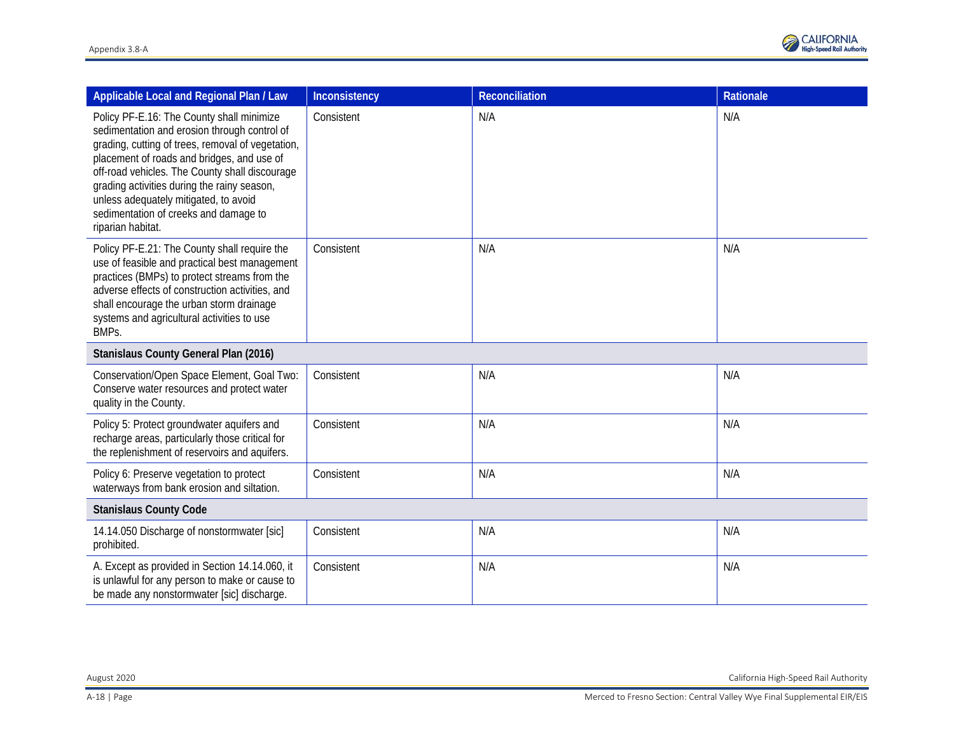| Applicable Local and Regional Plan / Law                                                                                                                                                                                                                                                                                                                                                             | Inconsistency | <b>Reconciliation</b> | Rationale |
|------------------------------------------------------------------------------------------------------------------------------------------------------------------------------------------------------------------------------------------------------------------------------------------------------------------------------------------------------------------------------------------------------|---------------|-----------------------|-----------|
| Policy PF-E.16: The County shall minimize<br>sedimentation and erosion through control of<br>grading, cutting of trees, removal of vegetation,<br>placement of roads and bridges, and use of<br>off-road vehicles. The County shall discourage<br>grading activities during the rainy season,<br>unless adequately mitigated, to avoid<br>sedimentation of creeks and damage to<br>riparian habitat. | Consistent    | N/A                   | N/A       |
| Policy PF-E.21: The County shall require the<br>use of feasible and practical best management<br>practices (BMPs) to protect streams from the<br>adverse effects of construction activities, and<br>shall encourage the urban storm drainage<br>systems and agricultural activities to use<br>BMPs.                                                                                                  | Consistent    | N/A                   | N/A       |
| Stanislaus County General Plan (2016)                                                                                                                                                                                                                                                                                                                                                                |               |                       |           |
| Conservation/Open Space Element, Goal Two:<br>Conserve water resources and protect water<br>quality in the County.                                                                                                                                                                                                                                                                                   | Consistent    | N/A                   | N/A       |
| Policy 5: Protect groundwater aquifers and<br>recharge areas, particularly those critical for<br>the replenishment of reservoirs and aquifers.                                                                                                                                                                                                                                                       | Consistent    | N/A                   | N/A       |
| Policy 6: Preserve vegetation to protect<br>waterways from bank erosion and siltation.                                                                                                                                                                                                                                                                                                               | Consistent    | N/A                   | N/A       |
| <b>Stanislaus County Code</b>                                                                                                                                                                                                                                                                                                                                                                        |               |                       |           |
| 14.14.050 Discharge of nonstormwater [sic]<br>prohibited.                                                                                                                                                                                                                                                                                                                                            | Consistent    | N/A                   | N/A       |
| A. Except as provided in Section 14.14.060, it<br>is unlawful for any person to make or cause to<br>be made any nonstormwater [sic] discharge.                                                                                                                                                                                                                                                       | Consistent    | N/A                   | N/A       |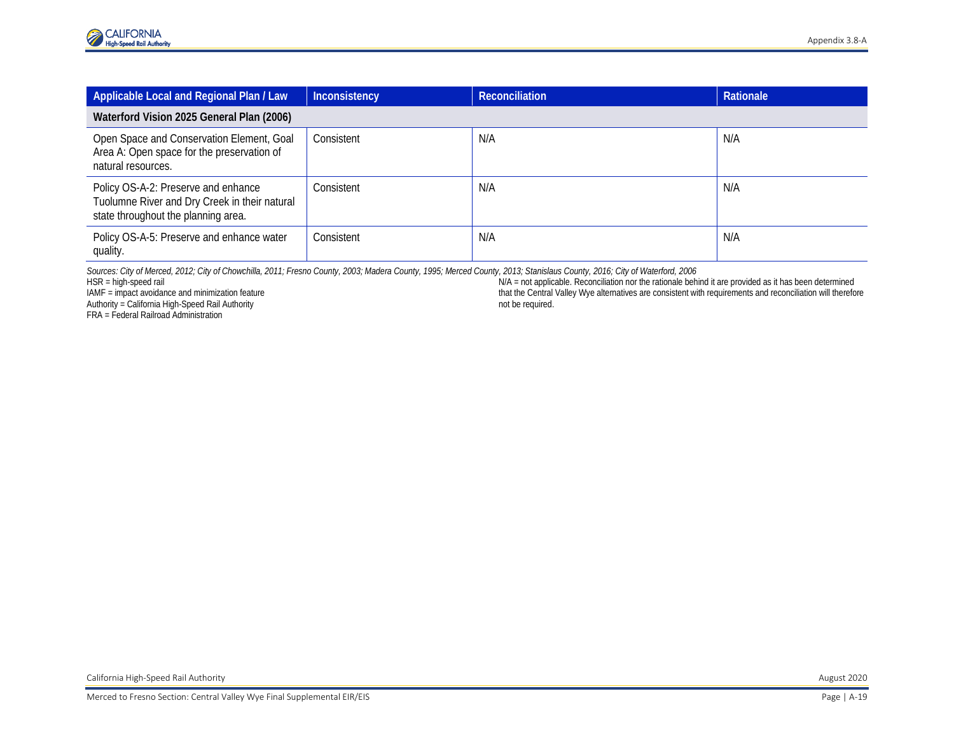| Applicable Local and Regional Plan / Law                                                                                    | Inconsistency | Reconciliation | <b>Rationale</b> |
|-----------------------------------------------------------------------------------------------------------------------------|---------------|----------------|------------------|
| Waterford Vision 2025 General Plan (2006)                                                                                   |               |                |                  |
| Open Space and Conservation Element, Goal<br>Area A: Open space for the preservation of<br>natural resources.               | Consistent    | N/A            | N/A              |
| Policy OS-A-2: Preserve and enhance<br>Tuolumne River and Dry Creek in their natural<br>state throughout the planning area. | Consistent    | N/A            | N/A              |
| Policy OS-A-5: Preserve and enhance water<br>quality.                                                                       | Consistent    | N/A            | N/A              |

*Sources: City of Merced, 2012; City of Chowchilla, 2011; Fresno County, 2003; Madera County, 1995; Merced County, 2013; Stanislaus County, 2016; City of Waterford, 2006<br>N/A = not applicable. Reconciliation nor the rationa* 

Authority = California High-Speed Rail Authority

FRA = Federal Railroad Administration

HSR = high-speed rail are provided as it has been determined<br>
IAMF = impact avoidance and minimization feature<br>
IAMF = impact avoidance and minimization feature<br>
IAMF = impact avoidance and minimization feature that the Central Valley Wye alternatives are consistent with requirements and reconciliation will therefore not be required.